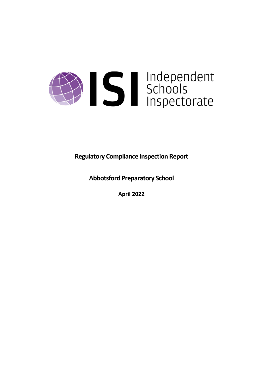

**Regulatory Compliance Inspection Report**

**Abbotsford Preparatory School**

**April 2022**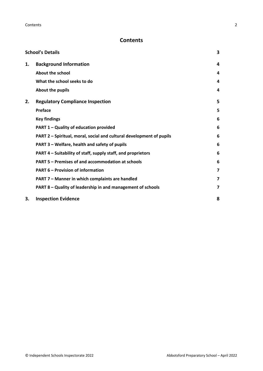# **Contents**

|    | <b>School's Details</b>                                              | 3 |
|----|----------------------------------------------------------------------|---|
| 1. | <b>Background Information</b>                                        | 4 |
|    | <b>About the school</b>                                              | 4 |
|    | What the school seeks to do                                          | 4 |
|    | About the pupils                                                     | 4 |
| 2. | <b>Regulatory Compliance Inspection</b>                              | 5 |
|    | <b>Preface</b>                                                       | 5 |
|    | <b>Key findings</b>                                                  | 6 |
|    | PART 1 - Quality of education provided                               | 6 |
|    | PART 2 - Spiritual, moral, social and cultural development of pupils | 6 |
|    | PART 3 - Welfare, health and safety of pupils                        | 6 |
|    | PART 4 – Suitability of staff, supply staff, and proprietors         | 6 |
|    | PART 5 - Premises of and accommodation at schools                    | 6 |
|    | <b>PART 6 - Provision of information</b>                             | 7 |
|    | PART 7 - Manner in which complaints are handled                      | 7 |
|    | PART 8 - Quality of leadership in and management of schools          | 7 |
| 3. | <b>Inspection Evidence</b>                                           | 8 |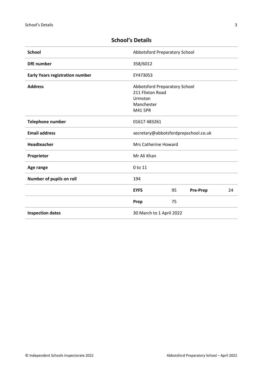| <b>School</b>                          | Abbotsford Preparatory School        |    |                 |    |
|----------------------------------------|--------------------------------------|----|-----------------|----|
| <b>DfE</b> number                      | 358/6012                             |    |                 |    |
| <b>Early Years registration number</b> | EY473053                             |    |                 |    |
| <b>Address</b>                         | Abbotsford Preparatory School        |    |                 |    |
|                                        | 211 Flixton Road                     |    |                 |    |
|                                        | Urmston                              |    |                 |    |
|                                        | Manchester                           |    |                 |    |
|                                        | M41 5PR                              |    |                 |    |
| Telephone number                       | 01617 483261                         |    |                 |    |
| <b>Email address</b>                   | secretary@abbotsfordprepschool.co.uk |    |                 |    |
| Headteacher                            | <b>Mrs Catherine Howard</b>          |    |                 |    |
| Proprietor                             | Mr Ali Khan                          |    |                 |    |
| Age range                              | 0 to 11                              |    |                 |    |
| Number of pupils on roll               | 194                                  |    |                 |    |
|                                        | <b>EYFS</b>                          | 95 | <b>Pre-Prep</b> | 24 |
|                                        | Prep                                 | 75 |                 |    |
| <b>Inspection dates</b>                | 30 March to 1 April 2022             |    |                 |    |

# <span id="page-2-0"></span>**School's Details**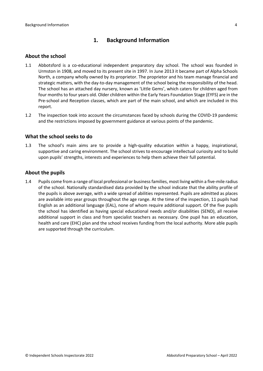## <span id="page-3-0"></span>**1. Background Information**

#### <span id="page-3-1"></span>**About the school**

- 1.1 Abbotsford is a co-educational independent preparatory day school. The school was founded in Urmston in 1908, and moved to its present site in 1997. In June 2013 it became part of Alpha Schools North, a company wholly owned by its proprietor. The proprietor and his team manage financial and strategic matters, with the day-to-day management of the school being the responsibility of the head. The school has an attached day nursery, known as 'Little Gems', which caters for children aged from four months to four years old. Older children within the Early Years Foundation Stage (EYFS) are in the Pre-school and Reception classes, which are part of the main school, and which are included in this report.
- 1.2 The inspection took into account the circumstances faced by schools during the COVID-19 pandemic and the restrictions imposed by government guidance at various points of the pandemic.

#### <span id="page-3-2"></span>**What the school seeks to do**

1.3 The school's main aims are to provide a high-quality education within a happy, inspirational, supportive and caring environment. The school strives to encourage intellectual curiosity and to build upon pupils' strengths, interests and experiences to help them achieve their full potential.

#### <span id="page-3-3"></span>**About the pupils**

1.4 Pupils come from a range of local professional or businessfamilies, most living within a five-mile radius of the school. Nationally standardised data provided by the school indicate that the ability profile of the pupils is above average, with a wide spread of abilities represented. Pupils are admitted as places are available into year groups throughout the age range. At the time of the inspection, 11 pupils had English as an additional language (EAL), none of whom require additional support. Of the five pupils the school has identified as having special educational needs and/or disabilities (SEND), all receive additional support in class and from specialist teachers as necessary. One pupil has an education, health and care (EHC) plan and the school receives funding from the local authority. More able pupils are supported through the curriculum.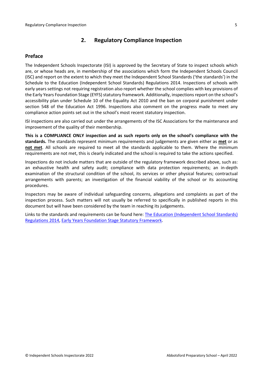## <span id="page-4-0"></span>**2. Regulatory Compliance Inspection**

### <span id="page-4-1"></span>**Preface**

The Independent Schools Inspectorate (ISI) is approved by the Secretary of State to inspect schools which are, or whose heads are, in membership of the associations which form the Independent Schools Council (ISC) and report on the extent to which they meet the Independent School Standards ('the standards') in the Schedule to the Education (Independent School Standards) Regulations 2014. Inspections of schools with early years settings not requiring registration also report whether the school complies with key provisions of the Early Years Foundation Stage (EYFS) statutory framework. Additionally, inspections report on the school's accessibility plan under Schedule 10 of the Equality Act 2010 and the ban on corporal punishment under section 548 of the Education Act 1996. Inspections also comment on the progress made to meet any compliance action points set out in the school's most recent statutory inspection.

ISI inspections are also carried out under the arrangements of the ISC Associations for the maintenance and improvement of the quality of their membership.

**This is a COMPLIANCE ONLY inspection and as such reports only on the school's compliance with the standards.** The standards represent minimum requirements and judgements are given either as **met** or as **not met**. All schools are required to meet all the standards applicable to them. Where the minimum requirements are not met, this is clearly indicated and the school is required to take the actions specified.

Inspections do not include matters that are outside of the regulatory framework described above, such as: an exhaustive health and safety audit; compliance with data protection requirements; an in-depth examination of the structural condition of the school, its services or other physical features; contractual arrangements with parents; an investigation of the financial viability of the school or its accounting procedures.

Inspectors may be aware of individual safeguarding concerns, allegations and complaints as part of the inspection process. Such matters will not usually be referred to specifically in published reports in this document but will have been considered by the team in reaching its judgements.

Links to the standards and requirements can be found here: The Education [\(Independent](http://www.legislation.gov.uk/uksi/2014/3283/contents/made) School Standards) [Regulations](http://www.legislation.gov.uk/uksi/2014/3283/contents/made) 2014, Early Years Foundation Stage Statutory [Framework.](https://www.gov.uk/government/publications/early-years-foundation-stage-framework--2)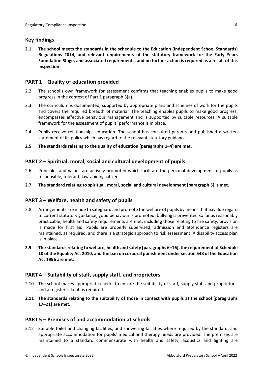### <span id="page-5-0"></span>**Key findings**

**2.1 The school meets the standards in the schedule to the Education (Independent School Standards) Regulations 2014, and relevant requirements of the statutory framework for the Early Years Foundation Stage, and associated requirements, and no further action is required as a result of this inspection.**

### <span id="page-5-1"></span>**PART 1 – Quality of education provided**

- 2.2 The school's own framework for assessment confirms that teaching enables pupils to make good progress in the context of Part 1 paragraph 3(a).
- 2.3 The curriculum is documented, supported by appropriate plans and schemes of work for the pupils and covers the required breadth of material. The teaching enables pupils to make good progress, encompasses effective behaviour management and is supported by suitable resources. A suitable framework for the assessment of pupils' performance is in place.
- 2.4 Pupils receive relationships education. The school has consulted parents and published a written statement of its policy which has regard to the relevant statutory guidance.
- **2.5 The standards relating to the quality of education [paragraphs 1–4] are met.**

### <span id="page-5-2"></span>**PART 2 – Spiritual, moral, social and cultural development of pupils**

- 2.6 Principles and values are actively promoted which facilitate the personal development of pupils as responsible, tolerant, law-abiding citizens.
- **2.7 The standard relating to spiritual, moral, social and cultural development [paragraph 5] is met.**

### <span id="page-5-3"></span>**PART 3 – Welfare, health and safety of pupils**

- 2.8 Arrangements are made to safeguard and promote the welfare of pupils by means that pay due regard to current statutory guidance; good behaviour is promoted; bullying is prevented so far as reasonably practicable; health and safety requirements are met, including those relating to fire safety; provision is made for first aid. Pupils are properly supervised; admission and attendance registers are maintained, as required, and there is a strategic approach to risk assessment. A disability access plan is in place.
- **2.9 The standardsrelating to welfare, health and safety [paragraphs 6–16], the requirement of Schedule 10 of the Equality Act 2010, and the ban on corporal punishment undersection 548 of the Education Act 1996 are met.**

### <span id="page-5-4"></span>**PART 4 – Suitability of staff, supply staff, and proprietors**

- 2.10 The school makes appropriate checks to ensure the suitability of staff, supply staff and proprietors, and a register is kept as required.
- **2.11 The standards relating to the suitability of those in contact with pupils at the school [paragraphs 17–21] are met.**

### <span id="page-5-5"></span>**PART 5 – Premises of and accommodation at schools**

2.12 Suitable toilet and changing facilities, and showering facilities where required by the standard, and appropriate accommodation for pupils' medical and therapy needs are provided. The premises are maintained to a standard commensurate with health and safety; acoustics and lighting are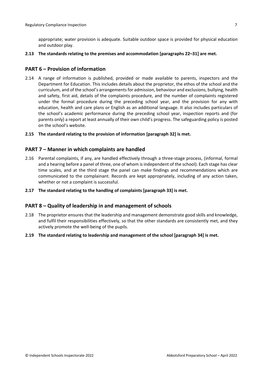appropriate; water provision is adequate. Suitable outdoor space is provided for physical education and outdoor play.

**2.13 The standards relating to the premises and accommodation [paragraphs 22–31] are met.**

#### <span id="page-6-0"></span>**PART 6 – Provision of information**

- 2.14 A range of information is published, provided or made available to parents, inspectors and the Department for Education. This includes details about the proprietor, the ethos of the school and the curriculum, and of the school's arrangementsfor admission, behaviour and exclusions, bullying, health and safety, first aid, details of the complaints procedure, and the number of complaints registered under the formal procedure during the preceding school year, and the provision for any with education, health and care plans or English as an additional language. It also includes particulars of the school's academic performance during the preceding school year, inspection reports and (for parents only) a report at least annually of their own child's progress. The safeguarding policy is posted on the school's website.
- **2.15 The standard relating to the provision of information [paragraph 32] is met.**

#### <span id="page-6-1"></span>**PART 7 – Manner in which complaints are handled**

- 2.16 Parental complaints, if any, are handled effectively through a three-stage process, (informal, formal and a hearing before a panel of three, one of whom isindependent of the school). Each stage has clear time scales, and at the third stage the panel can make findings and recommendations which are communicated to the complainant. Records are kept appropriately, including of any action taken, whether or not a complaint is successful.
- **2.17 The standard relating to the handling of complaints [paragraph 33] is met.**

#### <span id="page-6-2"></span>**PART 8 – Quality of leadership in and management of schools**

- 2.18 The proprietor ensures that the leadership and management demonstrate good skills and knowledge, and fulfil their responsibilities effectively, so that the other standards are consistently met, and they actively promote the well-being of the pupils.
- **2.19 The standard relating to leadership and management of the school [paragraph 34] is met.**